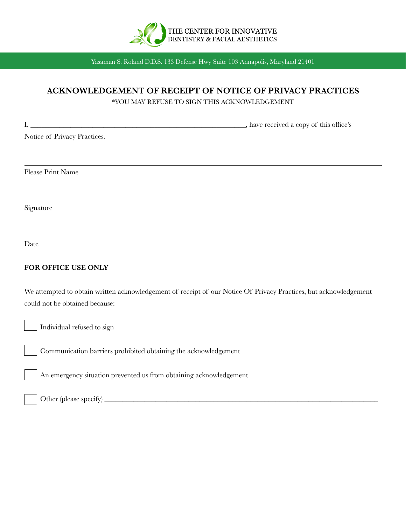

# **ACKNOWLEDGEMENT OF RECEIPT OF NOTICE OF PRIVACY PRACTICES**

\*YOU MAY REFUSE TO SIGN THIS ACKNOWLEDGEMENT

| <u> 1989 - Johann Barbara, martxa alemaniar arg</u><br>Ι.                                                                                           | _, have received a copy of this office's |
|-----------------------------------------------------------------------------------------------------------------------------------------------------|------------------------------------------|
| Notice of Privacy Practices.                                                                                                                        |                                          |
|                                                                                                                                                     |                                          |
| Please Print Name                                                                                                                                   |                                          |
|                                                                                                                                                     |                                          |
| Signature                                                                                                                                           |                                          |
|                                                                                                                                                     |                                          |
| Date                                                                                                                                                |                                          |
| FOR OFFICE USE ONLY                                                                                                                                 |                                          |
| We attempted to obtain written acknowledgement of receipt of our Notice Of Privacy Practices, but acknowledgement<br>could not be obtained because: |                                          |
| Individual refused to sign                                                                                                                          |                                          |
| Communication barriers prohibited obtaining the acknowledgement                                                                                     |                                          |
| An emergency situation prevented us from obtaining acknowledgement                                                                                  |                                          |
| Other (please specify) _                                                                                                                            |                                          |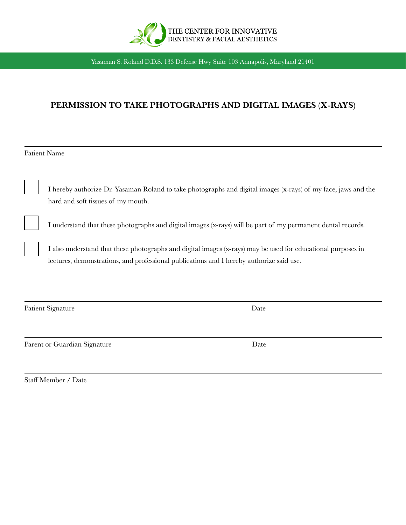

# **PERMISSION TO TAKE PHOTOGRAPHS AND DIGITAL IMAGES (X-RAYS)**

Patient Name

I hereby authorize Dr. Yasaman Roland to take photographs and digital images (x-rays) of my face, jaws and the hard and soft tissues of my mouth.

I understand that these photographs and digital images (x-rays) will be part of my permanent dental records.

I also understand that these photographs and digital images (x-rays) may be used for educational purposes in lectures, demonstrations, and professional publications and I hereby authorize said use.

Patient Signature Date

Parent or Guardian Signature Date

Staff Member / Date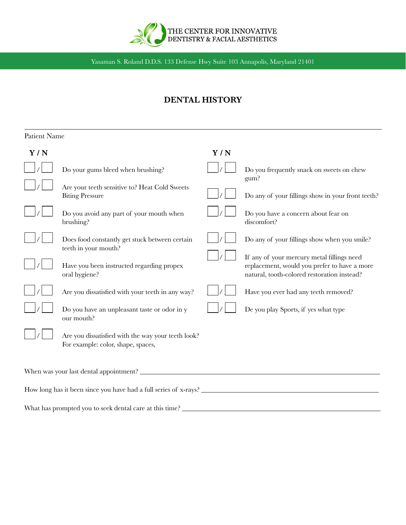

# **DENTAL HISTORY**

| Patient Name                                                     |                                                                                          |     |                                                                                                                                           |  |
|------------------------------------------------------------------|------------------------------------------------------------------------------------------|-----|-------------------------------------------------------------------------------------------------------------------------------------------|--|
| Y/N                                                              |                                                                                          | Y/N |                                                                                                                                           |  |
|                                                                  | Do your gums bleed when brushing?                                                        |     | Do you frequently snack on sweets on chew<br>gum?                                                                                         |  |
|                                                                  | Are your teeth sensitive to? Heat Cold Sweets<br><b>Biting Pressure</b>                  |     | Do any of your fillings show in your front teeth?                                                                                         |  |
|                                                                  | Do you avoid any part of your mouth when<br>brushing?                                    |     | Do you have a concern about fear on<br>discomfort?                                                                                        |  |
|                                                                  | Does food constantly get stuck between certain<br>teeth in your mouth?                   |     | Do any of your fillings show when you smile?                                                                                              |  |
|                                                                  | Have you been instructed regarding propex<br>oral hygiene?                               |     | If any of your mercury metal fillings need<br>replacement, would you prefer to have a more<br>natural, tooth-colored restoration instead? |  |
|                                                                  | Are you dissatisfied with your teeth in any way?                                         |     | Have you ever had any teeth removed?                                                                                                      |  |
|                                                                  | Do you have an unpleasant taste or odor in y<br>our mouth?                               |     | De you play Sports, if yes what type                                                                                                      |  |
|                                                                  | Are you dissatisfied with the way your teeth look?<br>For example: color, shape, spaces, |     |                                                                                                                                           |  |
|                                                                  |                                                                                          |     |                                                                                                                                           |  |
| How long has it been since you have had a full series of x-rays? |                                                                                          |     |                                                                                                                                           |  |
| What has prompted you to seek dental care at this time?          |                                                                                          |     |                                                                                                                                           |  |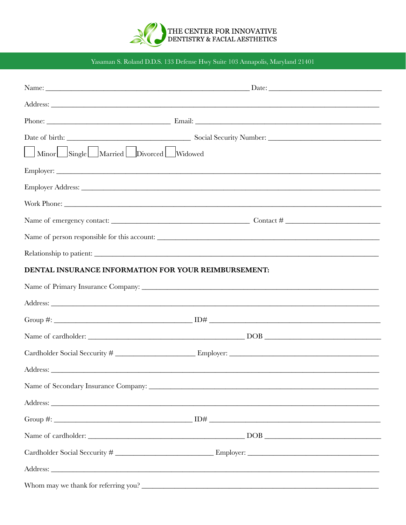

| Minor Single Married Divorced Widowed                |                                                                                                                                                                                                                                     |
|------------------------------------------------------|-------------------------------------------------------------------------------------------------------------------------------------------------------------------------------------------------------------------------------------|
|                                                      |                                                                                                                                                                                                                                     |
|                                                      |                                                                                                                                                                                                                                     |
|                                                      |                                                                                                                                                                                                                                     |
|                                                      |                                                                                                                                                                                                                                     |
|                                                      |                                                                                                                                                                                                                                     |
|                                                      |                                                                                                                                                                                                                                     |
| DENTAL INSURANCE INFORMATION FOR YOUR REIMBURSEMENT: |                                                                                                                                                                                                                                     |
|                                                      |                                                                                                                                                                                                                                     |
|                                                      |                                                                                                                                                                                                                                     |
|                                                      |                                                                                                                                                                                                                                     |
|                                                      |                                                                                                                                                                                                                                     |
|                                                      |                                                                                                                                                                                                                                     |
|                                                      |                                                                                                                                                                                                                                     |
|                                                      |                                                                                                                                                                                                                                     |
|                                                      | Address: <u>Address:</u> Address: Address: Address: Address: Address: Address: Address: Address: Address: Address: Address: Address: Address: Address: Address: Address: Address: Address: Address: Address: Address: Address: Addr |
|                                                      |                                                                                                                                                                                                                                     |
|                                                      |                                                                                                                                                                                                                                     |
|                                                      |                                                                                                                                                                                                                                     |
|                                                      | Address: <u>Address:</u> Address: Address: Address: Address: Address: Address: Address: Address: Address: Address: Address: Address: Address: Address: Address: Address: Address: Address: Address: Address: Address: Address: Addr |
|                                                      |                                                                                                                                                                                                                                     |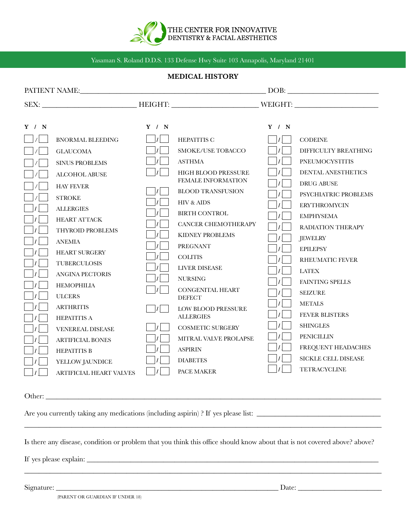

## **MEDICAL HISTORY**

|       |                                |                           |                                          |               | $\boxed{\text{DOB:}\n \begin{picture}(10,10) \label{fig:2} \put(0,0){\dashbox{0.5}(10,0){ }} \put(15,0){\dashbox{0.5}(10,0){ }} \put(15,0){\dashbox{0.5}(10,0){ }} \put(15,0){\dashbox{0.5}(10,0){ }} \put(15,0){\dashbox{0.5}(10,0){ }} \put(15,0){\dashbox{0.5}(10,0){ }} \put(15,0){\dashbox{0.5}(10,0){ }} \put(15,0){\dashbox{0.5}(10,0){ }} \put(15,0){\dashbox{0.5}(1$ |
|-------|--------------------------------|---------------------------|------------------------------------------|---------------|-------------------------------------------------------------------------------------------------------------------------------------------------------------------------------------------------------------------------------------------------------------------------------------------------------------------------------------------------------------------------------|
|       |                                |                           |                                          |               |                                                                                                                                                                                                                                                                                                                                                                               |
|       |                                |                           |                                          |               |                                                                                                                                                                                                                                                                                                                                                                               |
| Y / N |                                | Y / N                     |                                          | Y / N         |                                                                                                                                                                                                                                                                                                                                                                               |
|       | <b>BNORMAL BLEEDING</b>        |                           | HEPATITIS C                              | $\mathcal{L}$ | <b>CODEINE</b>                                                                                                                                                                                                                                                                                                                                                                |
|       | <b>GLAUCOMA</b>                |                           | <b>SMOKE/USE TOBACCO</b>                 |               | DIFFICULTY BREATHING                                                                                                                                                                                                                                                                                                                                                          |
|       | <b>SINUS PROBLEMS</b>          |                           | <b>ASTHMA</b>                            |               | <b>PNEUMOCYSTITIS</b>                                                                                                                                                                                                                                                                                                                                                         |
|       | <b>ALCOHOL ABUSE</b>           | $\left\vert f\right\vert$ | <b>HIGH BLOOD PRESSURE</b>               |               | DENTAL ANESTHETICS                                                                                                                                                                                                                                                                                                                                                            |
|       | <b>HAY FEVER</b>               |                           | FEMALE INFORMATION                       |               | <b>DRUG ABUSE</b>                                                                                                                                                                                                                                                                                                                                                             |
|       | <b>STROKE</b>                  |                           | <b>BLOOD TRANSFUSION</b>                 |               | PSYCHIATRIC PROBLEMS                                                                                                                                                                                                                                                                                                                                                          |
|       | <b>ALLERGIES</b>               |                           | HIV & AIDS                               |               | <b>ERYTHROMYCIN</b>                                                                                                                                                                                                                                                                                                                                                           |
|       | <b>HEART ATTACK</b>            |                           | <b>BIRTH CONTROL</b>                     |               | <b>EMPHYSEMA</b>                                                                                                                                                                                                                                                                                                                                                              |
|       | THYROID PROBLEMS               |                           | <b>CANCER CHEMOTHERAPY</b>               |               | RADIATION THERAPY                                                                                                                                                                                                                                                                                                                                                             |
|       | <b>ANEMIA</b>                  |                           | KIDNEY PROBLEMS                          |               | <b>JEWELRY</b>                                                                                                                                                                                                                                                                                                                                                                |
|       | <b>HEART SURGERY</b>           |                           | <b>PREGNANT</b>                          |               | <b>EPILEPSY</b>                                                                                                                                                                                                                                                                                                                                                               |
|       | <b>TUBERCULOSIS</b>            |                           | <b>COLITIS</b>                           |               | <b>RHEUMATIC FEVER</b>                                                                                                                                                                                                                                                                                                                                                        |
|       | <b>ANGINA PECTORIS</b>         |                           | <b>LIVER DISEASE</b>                     |               | <b>LATEX</b>                                                                                                                                                                                                                                                                                                                                                                  |
|       | <b>HEMOPHILIA</b>              |                           | <b>NURSING</b>                           |               | <b>FAINTING SPELLS</b>                                                                                                                                                                                                                                                                                                                                                        |
|       | <b>ULCERS</b>                  |                           | <b>CONGENITAL HEART</b><br><b>DEFECT</b> |               | <b>SEIZURE</b>                                                                                                                                                                                                                                                                                                                                                                |
|       | <b>ARTHRITIS</b>               |                           | <b>LOW BLOOD PRESSURE</b>                |               | <b>METALS</b>                                                                                                                                                                                                                                                                                                                                                                 |
|       | <b>HEPATITIS A</b>             |                           | <b>ALLERGIES</b>                         |               | <b>FEVER BLISTERS</b>                                                                                                                                                                                                                                                                                                                                                         |
|       | <b>VENEREAL DISEASE</b>        | $\vert$ / $\vert$         | <b>COSMETIC SURGERY</b>                  |               | <b>SHINGLES</b>                                                                                                                                                                                                                                                                                                                                                               |
|       | <b>ARTIFICIAL BONES</b>        | $\vert$ / $\vert$         | MITRAL VALVE PROLAPSE                    |               | <b>PENICILLIN</b>                                                                                                                                                                                                                                                                                                                                                             |
|       | <b>HEPATITIS B</b>             | $\left  \right $          | <b>ASPIRIN</b>                           |               | FREQUENT HEADACHES                                                                                                                                                                                                                                                                                                                                                            |
|       | YELLOW JAUNDICE                |                           | <b>DIABETES</b>                          |               | SICKLE CELL DISEASE                                                                                                                                                                                                                                                                                                                                                           |
|       | <b>ARTIFICIAL HEART VALVES</b> |                           | PACE MAKER                               |               | <b>TETRACYCLINE</b>                                                                                                                                                                                                                                                                                                                                                           |

Other:

Are you currently taking any medications (including aspirin) ? If yes please list: \_\_\_\_\_\_\_\_\_\_\_\_\_\_\_\_\_\_\_\_\_\_\_\_\_\_\_\_\_\_\_\_\_\_

Is there any disease, condition or problem that you think this office should know about that is not covered above? above?

\_\_\_\_\_\_\_\_\_\_\_\_\_\_\_\_\_\_\_\_\_\_\_\_\_\_\_\_\_\_\_\_\_\_\_\_\_\_\_\_\_\_\_\_\_\_\_\_\_\_\_\_\_\_\_\_\_\_\_\_\_\_\_\_\_\_\_\_\_\_\_\_\_\_\_\_\_\_\_\_\_\_\_\_\_\_\_\_\_\_\_\_\_\_\_\_\_\_

\_\_\_\_\_\_\_\_\_\_\_\_\_\_\_\_\_\_\_\_\_\_\_\_\_\_\_\_\_\_\_\_\_\_\_\_\_\_\_\_\_\_\_\_\_\_\_\_\_\_\_\_\_\_\_\_\_\_\_\_\_\_\_\_\_\_\_\_\_\_\_\_\_\_\_\_\_\_\_\_\_\_\_\_\_\_\_\_\_\_\_\_\_\_\_\_\_\_

If yes please explain: \_\_\_\_\_\_\_\_\_\_\_\_\_\_\_\_\_\_\_\_\_\_\_\_\_\_\_\_\_\_\_\_\_\_\_\_\_\_\_\_\_\_\_\_\_\_\_\_\_\_\_\_\_\_\_\_\_\_\_\_\_\_\_\_\_\_\_\_\_\_\_\_\_\_\_\_\_\_\_\_

Signature: \_\_\_\_\_\_\_\_\_\_\_\_\_\_\_\_\_\_\_\_\_\_\_\_\_\_\_\_\_\_\_\_\_\_\_\_\_\_\_\_\_\_\_\_\_\_\_\_\_\_\_\_\_\_\_\_\_\_\_\_\_ Date: \_\_\_\_\_\_\_\_\_\_\_\_\_\_\_\_\_\_\_\_\_\_\_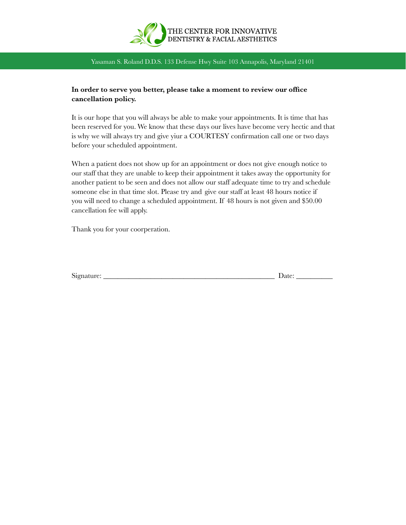

## **In order to serve you better, please take a moment to review our office cancellation policy.**

It is our hope that you will always be able to make your appointments. It is time that has been reserved for you. We know that these days our lives have become very hectic and that is why we will always try and give yiur a COURTESY confirmation call one or two days before your scheduled appointment.

When a patient does not show up for an appointment or does not give enough notice to our staff that they are unable to keep their appointment it takes away the opportunity for another patient to be seen and does not allow our staff adequate time to try and schedule someone else in that time slot. Please try and give our staff at least 48 hours notice if you will need to change a scheduled appointment. If 48 hours is not given and \$50.00 cancellation fee will apply.

Thank you for your coorperation.

| Signature: | inter |
|------------|-------|
| . .        |       |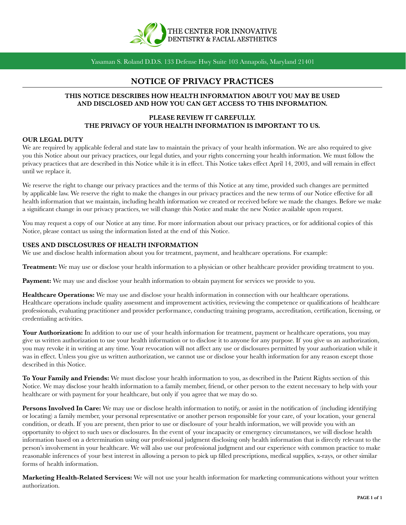

## **NOTICE OF PRIVACY PRACTICES**

#### **THIS NOTICE DESCRIBES HOW HEALTH INFORMATION ABOUT YOU MAY BE USED AND DISCLOSED AND HOW YOU CAN GET ACCESS TO THIS INFORMATION.**

## **PLEASE REVIEW IT CAREFULLY. THE PRIVACY OF YOUR HEALTH INFORMATION IS IMPORTANT TO US.**

#### **OUR LEGAL DUTY**

We are required by applicable federal and state law to maintain the privacy of your health information. We are also required to give you this Notice about our privacy practices, our legal duties, and your rights concerning your health information. We must follow the privacy practices that are described in this Notice while it is in effect. This Notice takes effect April 14, 2003, and will remain in effect until we replace it.

We reserve the right to change our privacy practices and the terms of this Notice at any time, provided such changes are permitted by applicable law. We reserve the right to make the changes in our privacy practices and the new terms of our Notice effective for all health information that we maintain, including health information we created or received before we made the changes. Before we make a significant change in our privacy practices, we will change this Notice and make the new Notice available upon request.

You may request a copy of our Notice at any time. For more information about our privacy practices, or for additional copies of this Notice, please contact us using the information listed at the end of this Notice.

#### **USES AND DISCLOSURES OF HEALTH INFORMATION**

We use and disclose health information about you for treatment, payment, and healthcare operations. For example:

**Treatment:** We may use or disclose your health information to a physician or other healthcare provider providing treatment to you.

**Payment:** We may use and disclose your health information to obtain payment for services we provide to you.

**Healthcare Operations:** We may use and disclose your health information in connection with our healthcare operations. Healthcare operations include quality assessment and improvement activities, reviewing the competence or qualifications of healthcare professionals, evaluating practitioner and provider performance, conducting training programs, accreditation, certification, licensing, or credentialing activities.

Your Authorization: In addition to our use of your health information for treatment, payment or healthcare operations, you may give us written authorization to use your health information or to disclose it to anyone for any purpose. If you give us an authorization, you may revoke it in writing at any time. Your revocation will not affect any use or disclosures permitted by your authorization while it was in effect. Unless you give us written authorization, we cannot use or disclose your health information for any reason except those described in this Notice.

**To Your Family and Friends:** We must disclose your health information to you, as described in the Patient Rights section of this Notice. We may disclose your health information to a family member, friend, or other person to the extent necessary to help with your healthcare or with payment for your healthcare, but only if you agree that we may do so.

**Persons Involved In Care:** We may use or disclose health information to notify, or assist in the notification of (including identifying or locating) a family member, your personal representative or another person responsible for your care, of your location, your general condition, or death. If you are present, then prior to use or disclosure of your health information, we will provide you with an opportunity to object to such uses or disclosures. In the event of your incapacity or emergency circumstances, we will disclose health information based on a determination using our professional judgment disclosing only health information that is directly relevant to the person's involvement in your healthcare. We will also use our professional judgment and our experience with common practice to make reasonable inferences of your best interest in allowing a person to pick up filled prescriptions, medical supplies, x-rays, or other similar forms of health information.

**Marketing Health-Related Services:** We will not use your health information for marketing communications without your written authorization.